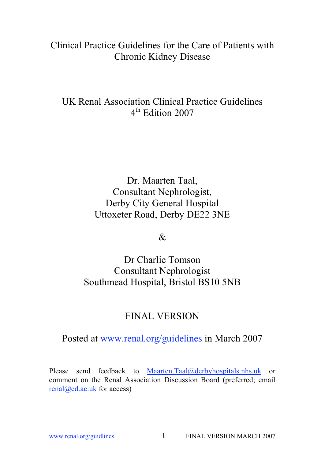# Clinical Practice Guidelines for the Care of Patients with Chronic Kidney Disease

# UK Renal Association Clinical Practice Guidelines 4<sup>th</sup> Edition 2007

Dr. Maarten Taal, Consultant Nephrologist, Derby City General Hospital Uttoxeter Road, Derby DE22 3NE

 $\mathcal{R}_{\mathcal{L}}$ 

Dr Charlie Tomson Consultant Nephrologist Southmead Hospital, Bristol BS10 5NB

# FINAL VERSION

Posted at www.renal.org/guidelines in March 2007

Please send feedback to Maarten.Taal@derbyhospitals.nhs.uk or comment on the Renal Association Discussion Board (preferred; email renal@ed.ac.uk for access)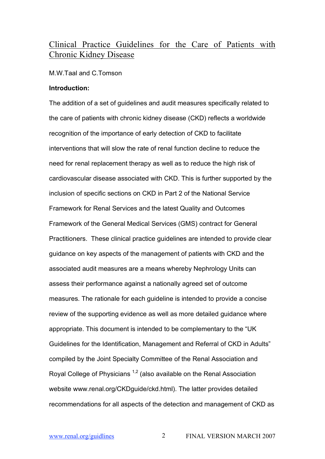# Clinical Practice Guidelines for the Care of Patients with Chronic Kidney Disease

#### M.W.Taal and C.Tomson

## **Introduction:**

The addition of a set of guidelines and audit measures specifically related to the care of patients with chronic kidney disease (CKD) reflects a worldwide recognition of the importance of early detection of CKD to facilitate interventions that will slow the rate of renal function decline to reduce the need for renal replacement therapy as well as to reduce the high risk of cardiovascular disease associated with CKD. This is further supported by the inclusion of specific sections on CKD in Part 2 of the National Service Framework for Renal Services and the latest Quality and Outcomes Framework of the General Medical Services (GMS) contract for General Practitioners. These clinical practice guidelines are intended to provide clear guidance on key aspects of the management of patients with CKD and the associated audit measures are a means whereby Nephrology Units can assess their performance against a nationally agreed set of outcome measures. The rationale for each guideline is intended to provide a concise review of the supporting evidence as well as more detailed guidance where appropriate. This document is intended to be complementary to the "UK Guidelines for the Identification, Management and Referral of CKD in Adults" compiled by the Joint Specialty Committee of the Renal Association and Royal College of Physicians  $1,2$  (also available on the Renal Association website www.renal.org/CKDguide/ckd.html). The latter provides detailed recommendations for all aspects of the detection and management of CKD as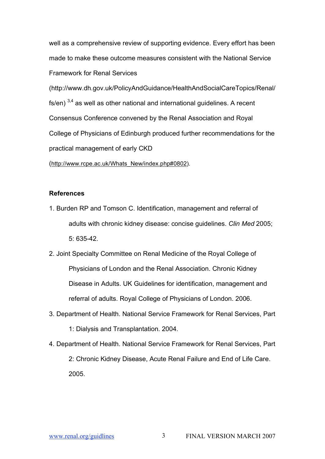well as a comprehensive review of supporting evidence. Every effort has been made to make these outcome measures consistent with the National Service Framework for Renal Services

(http://www.dh.gov.uk/PolicyAndGuidance/HealthAndSocialCareTopics/Renal/ fs/en)  $3,4$  as well as other national and international guidelines. A recent Consensus Conference convened by the Renal Association and Royal College of Physicians of Edinburgh produced further recommendations for the practical management of early CKD

(http://www.rcpe.ac.uk/Whats\_New/index.php#0802).

- 1. Burden RP and Tomson C. Identification, management and referral of adults with chronic kidney disease: concise guidelines. *Clin Med* 2005; 5: 635-42.
- 2. Joint Specialty Committee on Renal Medicine of the Royal College of Physicians of London and the Renal Association. Chronic Kidney Disease in Adults. UK Guidelines for identification, management and referral of adults. Royal College of Physicians of London. 2006.
- 3. Department of Health. National Service Framework for Renal Services, Part 1: Dialysis and Transplantation. 2004.
- 4. Department of Health. National Service Framework for Renal Services, Part 2: Chronic Kidney Disease, Acute Renal Failure and End of Life Care. 2005.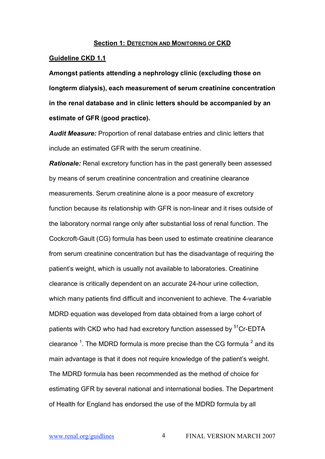#### **Section 1: DETECTION AND MONITORING OF CKD**

#### **Guideline CKD 1.1**

**Amongst patients attending a nephrology clinic (excluding those on longterm dialysis), each measurement of serum creatinine concentration in the renal database and in clinic letters should be accompanied by an estimate of GFR (good practice).**

*Audit Measure:* Proportion of renal database entries and clinic letters that include an estimated GFR with the serum creatinine.

*Rationale:* Renal excretory function has in the past generally been assessed by means of serum creatinine concentration and creatinine clearance measurements. Serum creatinine alone is a poor measure of excretory function because its relationship with GFR is non-linear and it rises outside of the laboratory normal range only after substantial loss of renal function. The Cockcroft-Gault (CG) formula has been used to estimate creatinine clearance from serum creatinine concentration but has the disadvantage of requiring the patient's weight, which is usually not available to laboratories. Creatinine clearance is critically dependent on an accurate 24-hour urine collection, which many patients find difficult and inconvenient to achieve. The 4-variable MDRD equation was developed from data obtained from a large cohort of patients with CKD who had had excretory function assessed by <sup>51</sup>Cr-EDTA clearance <sup>1</sup>. The MDRD formula is more precise than the CG formula  $^2$  and its main advantage is that it does not require knowledge of the patient's weight. The MDRD formula has been recommended as the method of choice for estimating GFR by several national and international bodies. The Department of Health for England has endorsed the use of the MDRD formula by all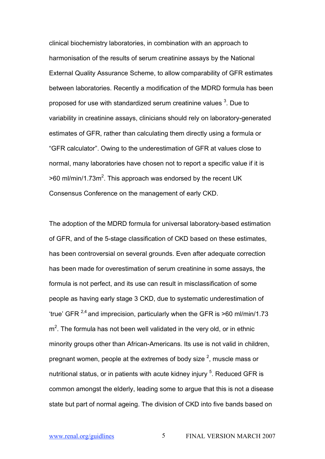clinical biochemistry laboratories, in combination with an approach to harmonisation of the results of serum creatinine assays by the National External Quality Assurance Scheme, to allow comparability of GFR estimates between laboratories. Recently a modification of the MDRD formula has been proposed for use with standardized serum creatinine values  $^3$ . Due to variability in creatinine assays, clinicians should rely on laboratory-generated estimates of GFR, rather than calculating them directly using a formula or "GFR calculator". Owing to the underestimation of GFR at values close to normal, many laboratories have chosen not to report a specific value if it is  $>$ 60 ml/min/1.73m<sup>2</sup>. This approach was endorsed by the recent UK Consensus Conference on the management of early CKD.

The adoption of the MDRD formula for universal laboratory-based estimation of GFR, and of the 5-stage classification of CKD based on these estimates, has been controversial on several grounds. Even after adequate correction has been made for overestimation of serum creatinine in some assays, the formula is not perfect, and its use can result in misclassification of some people as having early stage 3 CKD, due to systematic underestimation of 'true' GFR  $^{2,4}$  and imprecision, particularly when the GFR is >60 ml/min/1.73  $m<sup>2</sup>$ . The formula has not been well validated in the very old, or in ethnic minority groups other than African-Americans. Its use is not valid in children, pregnant women, people at the extremes of body size  $^2$ , muscle mass or nutritional status, or in patients with acute kidney injury <sup>5</sup>. Reduced GFR is common amongst the elderly, leading some to argue that this is not a disease state but part of normal ageing. The division of CKD into five bands based on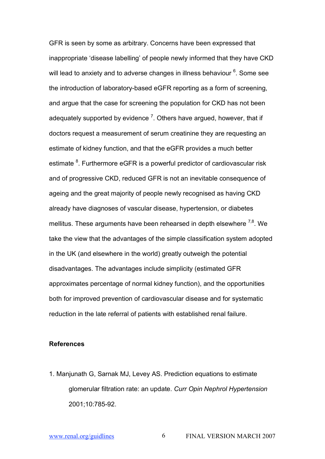GFR is seen by some as arbitrary. Concerns have been expressed that inappropriate 'disease labelling' of people newly informed that they have CKD will lead to anxiety and to adverse changes in illness behaviour  $^6$ . Some see the introduction of laboratory-based eGFR reporting as a form of screening, and argue that the case for screening the population for CKD has not been adequately supported by evidence  $^7$ . Others have argued, however, that if doctors request a measurement of serum creatinine they are requesting an estimate of kidney function, and that the eGFR provides a much better estimate <sup>8</sup>. Furthermore eGFR is a powerful predictor of cardiovascular risk and of progressive CKD, reduced GFR is not an inevitable consequence of ageing and the great majority of people newly recognised as having CKD already have diagnoses of vascular disease, hypertension, or diabetes mellitus. These arguments have been rehearsed in depth elsewhere <sup>7,8</sup>. We take the view that the advantages of the simple classification system adopted in the UK (and elsewhere in the world) greatly outweigh the potential disadvantages. The advantages include simplicity (estimated GFR approximates percentage of normal kidney function), and the opportunities both for improved prevention of cardiovascular disease and for systematic reduction in the late referral of patients with established renal failure.

# **References**

1. Manjunath G, Sarnak MJ, Levey AS. Prediction equations to estimate glomerular filtration rate: an update. *Curr Opin Nephrol Hypertension* 2001;10:785-92.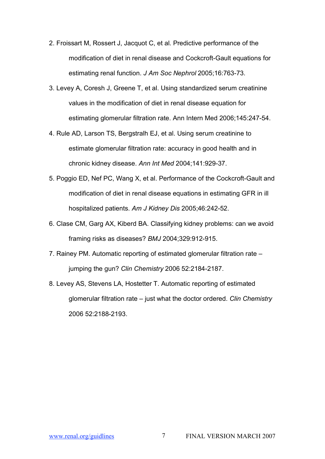- 2. Froissart M, Rossert J, Jacquot C, et al. Predictive performance of the modification of diet in renal disease and Cockcroft-Gault equations for estimating renal function. *J Am Soc Nephrol* 2005;16:763-73.
- 3. Levey A, Coresh J, Greene T, et al. Using standardized serum creatinine values in the modification of diet in renal disease equation for estimating glomerular filtration rate. Ann Intern Med 2006;145:247-54.
- 4. Rule AD, Larson TS, Bergstralh EJ, et al. Using serum creatinine to estimate glomerular filtration rate: accuracy in good health and in chronic kidney disease. *Ann Int Med* 2004;141:929-37.
- 5. Poggio ED, Nef PC, Wang X, et al. Performance of the Cockcroft-Gault and modification of diet in renal disease equations in estimating GFR in ill hospitalized patients. *Am J Kidney Dis* 2005;46:242-52.
- 6. Clase CM, Garg AX, Kiberd BA. Classifying kidney problems: can we avoid framing risks as diseases? *BMJ* 2004;329:912-915.
- 7. Rainey PM. Automatic reporting of estimated glomerular filtration rate jumping the gun? *Clin Chemistry* 2006 52:2184-2187.
- 8. Levey AS, Stevens LA, Hostetter T. Automatic reporting of estimated glomerular filtration rate – just what the doctor ordered. *Clin Chemistry*  2006 52:2188-2193.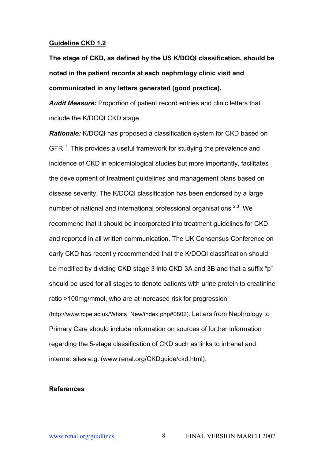#### **Guideline CKD 1.2**

**The stage of CKD, as defined by the US K/DOQI classification, should be noted in the patient records at each nephrology clinic visit and communicated in any letters generated (good practice).**

*Audit Measure:* Proportion of patient record entries and clinic letters that include the K/DOQI CKD stage.

*Rationale:* K/DOQI has proposed a classification system for CKD based on GFR  $^1$ . This provides a useful framework for studying the prevalence and incidence of CKD in epidemiological studies but more importantly, facilitates the development of treatment guidelines and management plans based on disease severity. The K/DOQI classification has been endorsed by a large number of national and international professional organisations <sup>2,3</sup>. We recommend that it should be incorporated into treatment guidelines for CKD and reported in all written communication. The UK Consensus Conference on early CKD has recently recommended that the K/DOQI classification should be modified by dividing CKD stage 3 into CKD 3A and 3B and that a suffix "p" should be used for all stages to denote patients with urine protein to creatinine ratio >100mg/mmol, who are at increased risk for progression (http://www.rcpe.ac.uk/Whats\_New/index.php#0802). Letters from Nephrology to Primary Care should include information on sources of further information regarding the 5-stage classification of CKD such as links to intranet and internet sites e.g. (www.renal.org/CKDguide/ckd.html).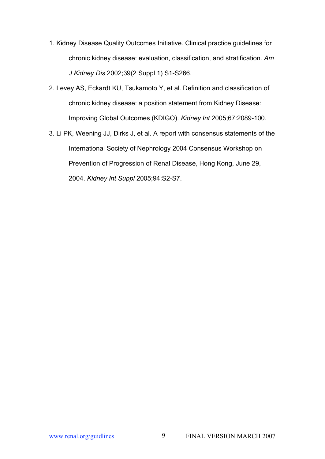- 1. Kidney Disease Quality Outcomes Initiative. Clinical practice guidelines for chronic kidney disease: evaluation, classification, and stratification. *Am J Kidney Dis* 2002;39(2 Suppl 1) S1-S266.
- 2. Levey AS, Eckardt KU, Tsukamoto Y, et al. Definition and classification of chronic kidney disease: a position statement from Kidney Disease: Improving Global Outcomes (KDIGO). *Kidney Int* 2005;67:2089-100.
- 3. Li PK, Weening JJ, Dirks J, et al. A report with consensus statements of the International Society of Nephrology 2004 Consensus Workshop on Prevention of Progression of Renal Disease, Hong Kong, June 29, 2004. *Kidney Int Suppl* 2005;94:S2-S7.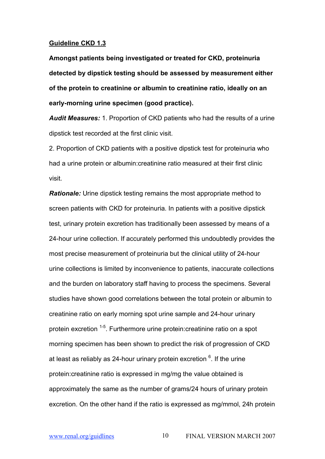#### **Guideline CKD 1.3**

**Amongst patients being investigated or treated for CKD, proteinuria detected by dipstick testing should be assessed by measurement either of the protein to creatinine or albumin to creatinine ratio, ideally on an early-morning urine specimen (good practice).**

*Audit Measures:* 1. Proportion of CKD patients who had the results of a urine dipstick test recorded at the first clinic visit.

2. Proportion of CKD patients with a positive dipstick test for proteinuria who had a urine protein or albumin:creatinine ratio measured at their first clinic visit.

*Rationale:* Urine dipstick testing remains the most appropriate method to screen patients with CKD for proteinuria. In patients with a positive dipstick test, urinary protein excretion has traditionally been assessed by means of a 24-hour urine collection. If accurately performed this undoubtedly provides the most precise measurement of proteinuria but the clinical utility of 24-hour urine collections is limited by inconvenience to patients, inaccurate collections and the burden on laboratory staff having to process the specimens. Several studies have shown good correlations between the total protein or albumin to creatinine ratio on early morning spot urine sample and 24-hour urinary protein excretion <sup>1-5</sup>. Furthermore urine protein:creatinine ratio on a spot morning specimen has been shown to predict the risk of progression of CKD at least as reliably as 24-hour urinary protein excretion  $^6$ . If the urine protein:creatinine ratio is expressed in mg/mg the value obtained is approximately the same as the number of grams/24 hours of urinary protein excretion. On the other hand if the ratio is expressed as mg/mmol, 24h protein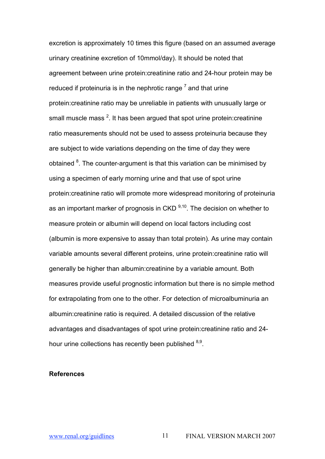excretion is approximately 10 times this figure (based on an assumed average urinary creatinine excretion of 10mmol/day). It should be noted that agreement between urine protein:creatinine ratio and 24-hour protein may be reduced if proteinuria is in the nephrotic range  $<sup>7</sup>$  and that urine</sup> protein:creatinine ratio may be unreliable in patients with unusually large or small muscle mass  $^2$ . It has been argued that spot urine protein:creatinine ratio measurements should not be used to assess proteinuria because they are subject to wide variations depending on the time of day they were obtained  $8$ . The counter-argument is that this variation can be minimised by using a specimen of early morning urine and that use of spot urine protein:creatinine ratio will promote more widespread monitoring of proteinuria as an important marker of prognosis in CKD <sup>9,10</sup>. The decision on whether to measure protein or albumin will depend on local factors including cost (albumin is more expensive to assay than total protein). As urine may contain variable amounts several different proteins, urine protein:creatinine ratio will generally be higher than albumin:creatinine by a variable amount. Both measures provide useful prognostic information but there is no simple method for extrapolating from one to the other. For detection of microalbuminuria an albumin:creatinine ratio is required. A detailed discussion of the relative advantages and disadvantages of spot urine protein:creatinine ratio and 24 hour urine collections has recently been published <sup>8,9</sup>.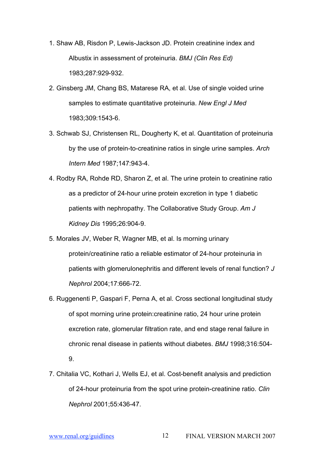- 1. Shaw AB, Risdon P, Lewis-Jackson JD. Protein creatinine index and Albustix in assessment of proteinuria. *BMJ (Clin Res Ed)* 1983;287:929-932.
- 2. Ginsberg JM, Chang BS, Matarese RA, et al. Use of single voided urine samples to estimate quantitative proteinuria. *New Engl J Med* 1983;309:1543-6.
- 3. Schwab SJ, Christensen RL, Dougherty K, et al. Quantitation of proteinuria by the use of protein-to-creatinine ratios in single urine samples. *Arch Intern Med* 1987;147:943-4.
- 4. Rodby RA, Rohde RD, Sharon Z, et al. The urine protein to creatinine ratio as a predictor of 24-hour urine protein excretion in type 1 diabetic patients with nephropathy. The Collaborative Study Group. *Am J Kidney Dis* 1995;26:904-9.
- 5. Morales JV, Weber R, Wagner MB, et al. Is morning urinary protein/creatinine ratio a reliable estimator of 24-hour proteinuria in patients with glomerulonephritis and different levels of renal function? *J Nephrol* 2004;17:666-72.
- 6. Ruggenenti P, Gaspari F, Perna A, et al. Cross sectional longitudinal study of spot morning urine protein:creatinine ratio, 24 hour urine protein excretion rate, glomerular filtration rate, and end stage renal failure in chronic renal disease in patients without diabetes. *BMJ* 1998;316:504- 9.
- 7. Chitalia VC, Kothari J, Wells EJ, et al. Cost-benefit analysis and prediction of 24-hour proteinuria from the spot urine protein-creatinine ratio. *Clin Nephrol* 2001;55:436-47.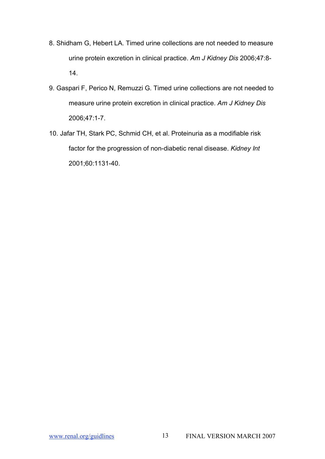- 8. Shidham G, Hebert LA. Timed urine collections are not needed to measure urine protein excretion in clinical practice. *Am J Kidney Dis* 2006;47:8- 14.
- 9. Gaspari F, Perico N, Remuzzi G. Timed urine collections are not needed to measure urine protein excretion in clinical practice. *Am J Kidney Dis* 2006;47:1-7.
- 10. Jafar TH, Stark PC, Schmid CH, et al. Proteinuria as a modifiable risk factor for the progression of non-diabetic renal disease. *Kidney Int* 2001;60:1131-40.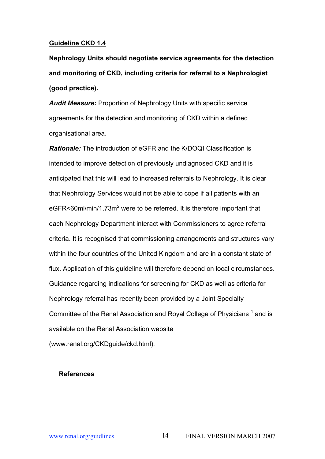# **Guideline CKD 1.4**

**Nephrology Units should negotiate service agreements for the detection and monitoring of CKD, including criteria for referral to a Nephrologist (good practice).**

*Audit Measure:* Proportion of Nephrology Units with specific service agreements for the detection and monitoring of CKD within a defined organisational area.

*Rationale:* The introduction of eGFR and the K/DOQI Classification is intended to improve detection of previously undiagnosed CKD and it is anticipated that this will lead to increased referrals to Nephrology. It is clear that Nephrology Services would not be able to cope if all patients with an eGFR<60ml/min/1.73m<sup>2</sup> were to be referred. It is therefore important that each Nephrology Department interact with Commissioners to agree referral criteria. It is recognised that commissioning arrangements and structures vary within the four countries of the United Kingdom and are in a constant state of flux. Application of this guideline will therefore depend on local circumstances. Guidance regarding indications for screening for CKD as well as criteria for Nephrology referral has recently been provided by a Joint Specialty Committee of the Renal Association and Royal College of Physicians <sup>1</sup> and is available on the Renal Association website

(www.renal.org/CKDguide/ckd.html).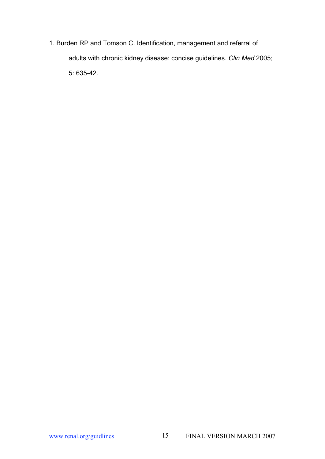1. Burden RP and Tomson C. Identification, management and referral of adults with chronic kidney disease: concise guidelines. *Clin Med* 2005; 5: 635-42.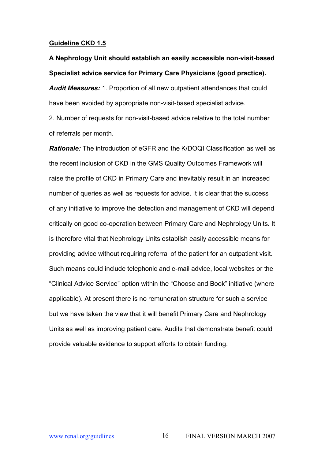### **Guideline CKD 1.5**

**A Nephrology Unit should establish an easily accessible non-visit-based Specialist advice service for Primary Care Physicians (good practice).** *Audit Measures:* 1. Proportion of all new outpatient attendances that could have been avoided by appropriate non-visit-based specialist advice.

2. Number of requests for non-visit-based advice relative to the total number of referrals per month.

*Rationale:* The introduction of eGFR and the K/DOQI Classification as well as the recent inclusion of CKD in the GMS Quality Outcomes Framework will raise the profile of CKD in Primary Care and inevitably result in an increased number of queries as well as requests for advice. It is clear that the success of any initiative to improve the detection and management of CKD will depend critically on good co-operation between Primary Care and Nephrology Units. It is therefore vital that Nephrology Units establish easily accessible means for providing advice without requiring referral of the patient for an outpatient visit. Such means could include telephonic and e-mail advice, local websites or the "Clinical Advice Service" option within the "Choose and Book" initiative (where applicable). At present there is no remuneration structure for such a service but we have taken the view that it will benefit Primary Care and Nephrology Units as well as improving patient care. Audits that demonstrate benefit could provide valuable evidence to support efforts to obtain funding.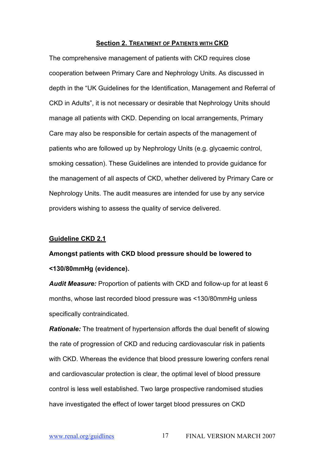## **Section 2. TREATMENT OF PATIENTS WITH CKD**

The comprehensive management of patients with CKD requires close cooperation between Primary Care and Nephrology Units. As discussed in depth in the "UK Guidelines for the Identification, Management and Referral of CKD in Adults", it is not necessary or desirable that Nephrology Units should manage all patients with CKD. Depending on local arrangements, Primary Care may also be responsible for certain aspects of the management of patients who are followed up by Nephrology Units (e.g. glycaemic control, smoking cessation). These Guidelines are intended to provide guidance for the management of all aspects of CKD, whether delivered by Primary Care or Nephrology Units. The audit measures are intended for use by any service providers wishing to assess the quality of service delivered.

## **Guideline CKD 2.1**

# **Amongst patients with CKD blood pressure should be lowered to <130/80mmHg (evidence).**

*Audit Measure:* Proportion of patients with CKD and follow-up for at least 6 months, whose last recorded blood pressure was <130/80mmHg unless specifically contraindicated.

*Rationale:* The treatment of hypertension affords the dual benefit of slowing the rate of progression of CKD and reducing cardiovascular risk in patients with CKD. Whereas the evidence that blood pressure lowering confers renal and cardiovascular protection is clear, the optimal level of blood pressure control is less well established. Two large prospective randomised studies have investigated the effect of lower target blood pressures on CKD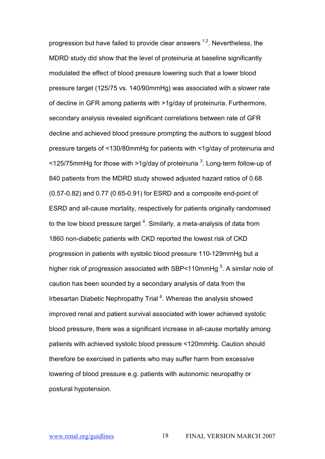progression but have failed to provide clear answers <sup>1,2</sup>. Nevertheless, the MDRD study did show that the level of proteinuria at baseline significantly modulated the effect of blood pressure lowering such that a lower blood pressure target (125/75 vs. 140/90mmHg) was associated with a slower rate of decline in GFR among patients with >1g/day of proteinuria. Furthermore, secondary analysis revealed significant correlations between rate of GFR decline and achieved blood pressure prompting the authors to suggest blood pressure targets of <130/80mmHg for patients with <1g/day of proteinuria and <125/75mmHg for those with >1g/day of proteinuria  $^3$ . Long-term follow-up of 840 patients from the MDRD study showed adjusted hazard ratios of 0.68 (0.57-0.82) and 0.77 (0.65-0.91) for ESRD and a composite end-point of ESRD and all-cause mortality, respectively for patients originally randomised to the low blood pressure target  $^4$ . Similarly, a meta-analysis of data from 1860 non-diabetic patients with CKD reported the lowest risk of CKD progression in patients with systolic blood pressure 110-129mmHg but a higher risk of progression associated with SBP<110mmHg  $^5$ . A similar note of caution has been sounded by a secondary analysis of data from the Irbesartan Diabetic Nephropathy Trial <sup>6</sup>. Whereas the analysis showed improved renal and patient survival associated with lower achieved systolic blood pressure, there was a significant increase in all-cause mortality among patients with achieved systolic blood pressure <120mmHg. Caution should therefore be exercised in patients who may suffer harm from excessive lowering of blood pressure e.g. patients with autonomic neuropathy or postural hypotension.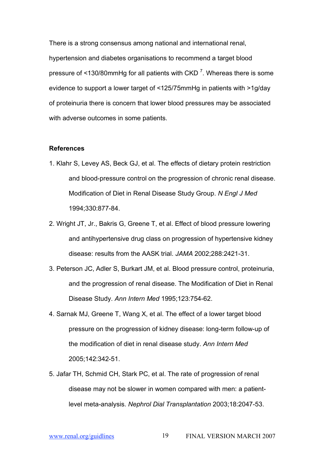There is a strong consensus among national and international renal, hypertension and diabetes organisations to recommend a target blood pressure of <130/80mmHg for all patients with CKD <sup>7</sup>. Whereas there is some evidence to support a lower target of <125/75mmHg in patients with >1g/day of proteinuria there is concern that lower blood pressures may be associated with adverse outcomes in some patients.

- 1. Klahr S, Levey AS, Beck GJ, et al. The effects of dietary protein restriction and blood-pressure control on the progression of chronic renal disease. Modification of Diet in Renal Disease Study Group. *N Engl J Med* 1994;330:877-84.
- 2. Wright JT, Jr., Bakris G, Greene T, et al. Effect of blood pressure lowering and antihypertensive drug class on progression of hypertensive kidney disease: results from the AASK trial. *JAMA* 2002;288:2421-31.
- 3. Peterson JC, Adler S, Burkart JM, et al. Blood pressure control, proteinuria, and the progression of renal disease. The Modification of Diet in Renal Disease Study. *Ann Intern Med* 1995;123:754-62.
- 4. Sarnak MJ, Greene T, Wang X, et al. The effect of a lower target blood pressure on the progression of kidney disease: long-term follow-up of the modification of diet in renal disease study. *Ann Intern Med* 2005;142:342-51.
- 5. Jafar TH, Schmid CH, Stark PC, et al. The rate of progression of renal disease may not be slower in women compared with men: a patientlevel meta-analysis. *Nephrol Dial Transplantation* 2003;18:2047-53.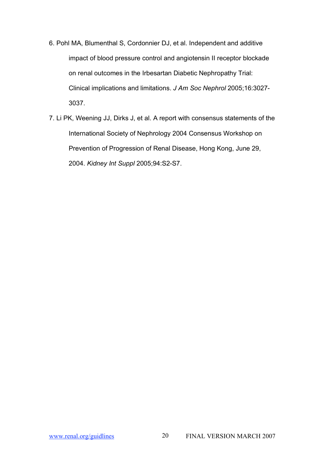- 6. Pohl MA, Blumenthal S, Cordonnier DJ, et al. Independent and additive impact of blood pressure control and angiotensin II receptor blockade on renal outcomes in the Irbesartan Diabetic Nephropathy Trial: Clinical implications and limitations. *J Am Soc Nephrol* 2005;16:3027- 3037.
- 7. Li PK, Weening JJ, Dirks J, et al. A report with consensus statements of the International Society of Nephrology 2004 Consensus Workshop on Prevention of Progression of Renal Disease, Hong Kong, June 29, 2004. *Kidney Int Suppl* 2005;94:S2-S7.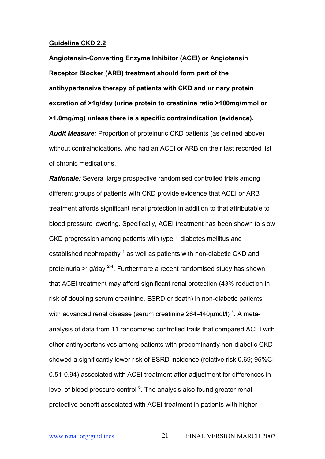#### **Guideline CKD 2.2**

**Angiotensin-Converting Enzyme Inhibitor (ACEI) or Angiotensin Receptor Blocker (ARB) treatment should form part of the antihypertensive therapy of patients with CKD and urinary protein excretion of >1g/day (urine protein to creatinine ratio >100mg/mmol or >1.0mg/mg) unless there is a specific contraindication (evidence).** *Audit Measure:* Proportion of proteinuric CKD patients (as defined above) without contraindications, who had an ACEI or ARB on their last recorded list of chronic medications.

*Rationale:* Several large prospective randomised controlled trials among different groups of patients with CKD provide evidence that ACEI or ARB treatment affords significant renal protection in addition to that attributable to blood pressure lowering. Specifically, ACEI treatment has been shown to slow CKD progression among patients with type 1 diabetes mellitus and established nephropathy  $<sup>1</sup>$  as well as patients with non-diabetic CKD and</sup> proteinuria >1g/day <sup>2-4</sup>. Furthermore a recent randomised study has shown that ACEI treatment may afford significant renal protection (43% reduction in risk of doubling serum creatinine, ESRD or death) in non-diabetic patients with advanced renal disease (serum creatinine 264-440 $\mu$ mol/l)  $^5$ . A metaanalysis of data from 11 randomized controlled trails that compared ACEI with other antihypertensives among patients with predominantly non-diabetic CKD showed a significantly lower risk of ESRD incidence (relative risk 0.69; 95%CI 0.51-0.94) associated with ACEI treatment after adjustment for differences in level of blood pressure control <sup>6</sup>. The analysis also found greater renal protective benefit associated with ACEI treatment in patients with higher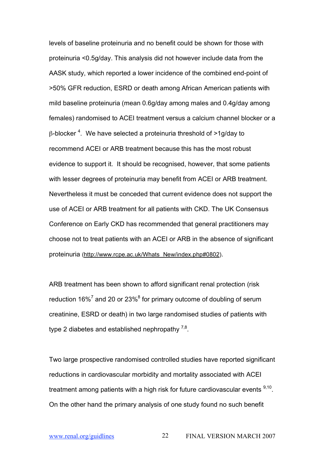levels of baseline proteinuria and no benefit could be shown for those with proteinuria <0.5g/day. This analysis did not however include data from the AASK study, which reported a lower incidence of the combined end-point of >50% GFR reduction, ESRD or death among African American patients with mild baseline proteinuria (mean 0.6g/day among males and 0.4g/day among females) randomised to ACEI treatment versus a calcium channel blocker or a β-blocker  $^4$ . We have selected a proteinuria threshold of >1g/day to recommend ACEI or ARB treatment because this has the most robust evidence to support it. It should be recognised, however, that some patients with lesser degrees of proteinuria may benefit from ACEI or ARB treatment. Nevertheless it must be conceded that current evidence does not support the use of ACEI or ARB treatment for all patients with CKD. The UK Consensus Conference on Early CKD has recommended that general practitioners may choose not to treat patients with an ACEI or ARB in the absence of significant proteinuria (http://www.rcpe.ac.uk/Whats\_New/index.php#0802).

ARB treatment has been shown to afford significant renal protection (risk reduction  $16\%$ <sup>7</sup> and 20 or 23%<sup>8</sup> for primary outcome of doubling of serum creatinine, ESRD or death) in two large randomised studies of patients with type 2 diabetes and established nephropathy  $^{7,8}$ .

Two large prospective randomised controlled studies have reported significant reductions in cardiovascular morbidity and mortality associated with ACEI treatment among patients with a high risk for future cardiovascular events  $9,10$ . On the other hand the primary analysis of one study found no such benefit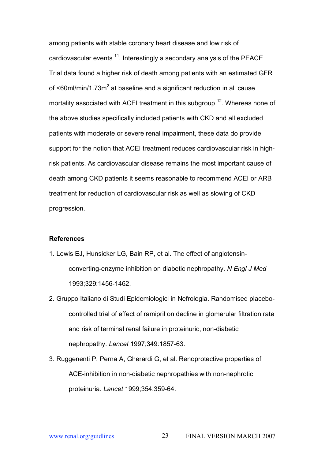among patients with stable coronary heart disease and low risk of cardiovascular events  $^{11}$ . Interestingly a secondary analysis of the PEACE Trial data found a higher risk of death among patients with an estimated GFR of  $\leq 60$ ml/min/1.73m<sup>2</sup> at baseline and a significant reduction in all cause mortality associated with ACEI treatment in this subgroup <sup>12</sup>. Whereas none of the above studies specifically included patients with CKD and all excluded patients with moderate or severe renal impairment, these data do provide support for the notion that ACEI treatment reduces cardiovascular risk in highrisk patients. As cardiovascular disease remains the most important cause of death among CKD patients it seems reasonable to recommend ACEI or ARB treatment for reduction of cardiovascular risk as well as slowing of CKD progression.

- 1. Lewis EJ, Hunsicker LG, Bain RP, et al. The effect of angiotensinconverting-enzyme inhibition on diabetic nephropathy. *N Engl J Med* 1993;329:1456-1462.
- 2. Gruppo Italiano di Studi Epidemiologici in Nefrologia. Randomised placebocontrolled trial of effect of ramipril on decline in glomerular filtration rate and risk of terminal renal failure in proteinuric, non-diabetic nephropathy. *Lancet* 1997;349:1857-63.
- 3. Ruggenenti P, Perna A, Gherardi G, et al. Renoprotective properties of ACE-inhibition in non-diabetic nephropathies with non-nephrotic proteinuria. *Lancet* 1999;354:359-64.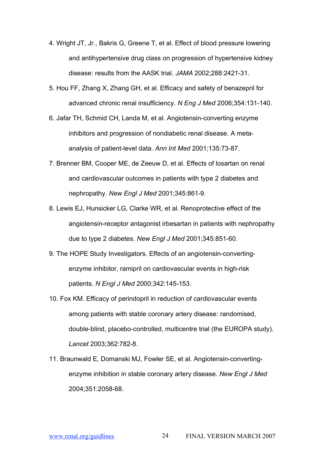- 4. Wright JT, Jr., Bakris G, Greene T, et al. Effect of blood pressure lowering and antihypertensive drug class on progression of hypertensive kidney disease: results from the AASK trial. *JAMA* 2002;288:2421-31.
- 5. Hou FF, Zhang X, Zhang GH, et al. Efficacy and safety of benazepril for advanced chronic renal insufficiency. *N Eng J Med* 2006;354:131-140.
- 6. Jafar TH, Schmid CH, Landa M, et al. Angiotensin-converting enzyme inhibitors and progression of nondiabetic renal disease. A metaanalysis of patient-level data. *Ann Int Med* 2001;135:73-87.
- 7. Brenner BM, Cooper ME, de Zeeuw D, et al. Effects of losartan on renal and cardiovascular outcomes in patients with type 2 diabetes and nephropathy. *New Engl J Med* 2001;345:861-9.
- 8. Lewis EJ, Hunsicker LG, Clarke WR, et al. Renoprotective effect of the angiotensin-receptor antagonist irbesartan in patients with nephropathy due to type 2 diabetes. *New Engl J Med* 2001;345:851-60.
- 9. The HOPE Study Investigators. Effects of an angiotensin-convertingenzyme inhibitor, ramipril on cardiovascular events in high-risk patients. *N Engl J Med* 2000;342:145-153.
- 10. Fox KM. Efficacy of perindopril in reduction of cardiovascular events among patients with stable coronary artery disease: randomised, double-blind, placebo-controlled, multicentre trial (the EUROPA study). *Lancet* 2003;362:782-8.
- 11. Braunwald E, Domanski MJ, Fowler SE, et al. Angiotensin-convertingenzyme inhibition in stable coronary artery disease. *New Engl J Med* 2004;351:2058-68.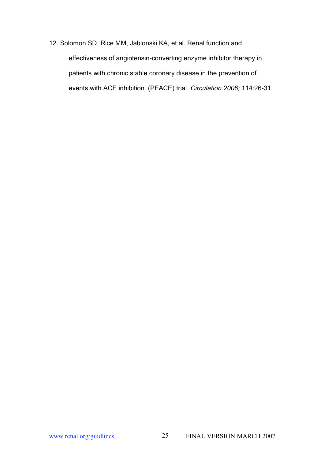12. Solomon SD, Rice MM, Jablonski KA, et al. Renal function and effectiveness of angiotensin-converting enzyme inhibitor therapy in patients with chronic stable coronary disease in the prevention of events with ACE inhibition (PEACE) trial. *Circulation 2006;* 114:26-31.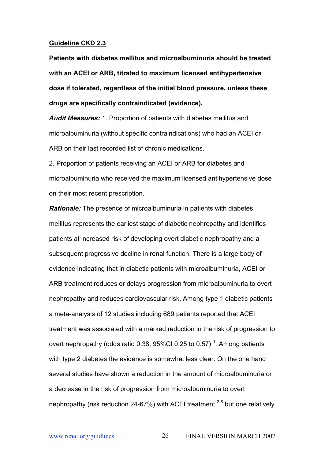#### **Guideline CKD 2.3**

**Patients with diabetes mellitus and microalbuminuria should be treated with an ACEI or ARB, titrated to maximum licensed antihypertensive dose if tolerated, regardless of the initial blood pressure, unless these drugs are specifically contraindicated (evidence).**

*Audit Measures:* 1. Proportion of patients with diabetes mellitus and microalbuminuria (without specific contraindications) who had an ACEI or ARB on their last recorded list of chronic medications.

2. Proportion of patients receiving an ACEI or ARB for diabetes and microalbuminuria who received the maximum licensed antihypertensive dose on their most recent prescription.

*Rationale:* The presence of microalbuminuria in patients with diabetes mellitus represents the earliest stage of diabetic nephropathy and identifies patients at increased risk of developing overt diabetic nephropathy and a subsequent progressive decline in renal function. There is a large body of evidence indicating that in diabetic patients with microalbuminuria, ACEI or ARB treatment reduces or delays progression from microalbuminuria to overt nephropathy and reduces cardiovascular risk. Among type 1 diabetic patients a meta-analysis of 12 studies including 689 patients reported that ACEI treatment was associated with a marked reduction in the risk of progression to overt nephropathy (odds ratio 0.38, 95%CI 0.25 to 0.57)<sup>1</sup>. Among patients with type 2 diabetes the evidence is somewhat less clear. On the one hand several studies have shown a reduction in the amount of microalbuminuria or a decrease in the risk of progression from microalbuminuria to overt nephropathy (risk reduction 24-67%) with ACEI treatment  $2-6$  but one relatively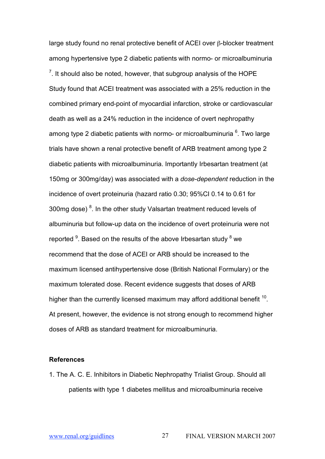large study found no renal protective benefit of ACEI over β-blocker treatment among hypertensive type 2 diabetic patients with normo- or microalbuminuria  $7$ . It should also be noted, however, that subgroup analysis of the HOPE Study found that ACEI treatment was associated with a 25% reduction in the combined primary end-point of myocardial infarction, stroke or cardiovascular death as well as a 24% reduction in the incidence of overt nephropathy among type 2 diabetic patients with normo- or microalbuminuria <sup>6</sup>. Two large trials have shown a renal protective benefit of ARB treatment among type 2 diabetic patients with microalbuminuria. Importantly Irbesartan treatment (at 150mg or 300mg/day) was associated with a *dose-dependent* reduction in the incidence of overt proteinuria (hazard ratio 0.30; 95%CI 0.14 to 0.61 for 300mg dose)  $^8$ . In the other study Valsartan treatment reduced levels of albuminuria but follow-up data on the incidence of overt proteinuria were not reported  $^9$ . Based on the results of the above Irbesartan study  $^8$  we recommend that the dose of ACEI or ARB should be increased to the maximum licensed antihypertensive dose (British National Formulary) or the maximum tolerated dose. Recent evidence suggests that doses of ARB higher than the currently licensed maximum may afford additional benefit  $^{10}$ . At present, however, the evidence is not strong enough to recommend higher doses of ARB as standard treatment for microalbuminuria.

#### **References**

1. The A. C. E. Inhibitors in Diabetic Nephropathy Trialist Group. Should all patients with type 1 diabetes mellitus and microalbuminuria receive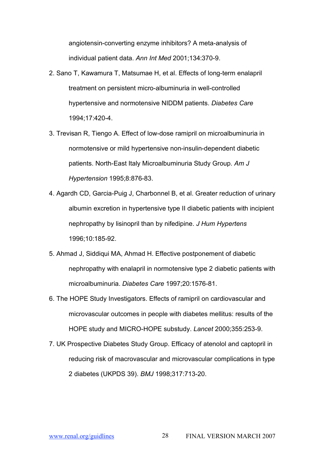angiotensin-converting enzyme inhibitors? A meta-analysis of individual patient data. *Ann Int Med* 2001;134:370-9.

- 2. Sano T, Kawamura T, Matsumae H, et al. Effects of long-term enalapril treatment on persistent micro-albuminuria in well-controlled hypertensive and normotensive NIDDM patients. *Diabetes Care* 1994;17:420-4.
- 3. Trevisan R, Tiengo A. Effect of low-dose ramipril on microalbuminuria in normotensive or mild hypertensive non-insulin-dependent diabetic patients. North-East Italy Microalbuminuria Study Group. *Am J Hypertension* 1995;8:876-83.
- 4. Agardh CD, Garcia-Puig J, Charbonnel B, et al. Greater reduction of urinary albumin excretion in hypertensive type II diabetic patients with incipient nephropathy by lisinopril than by nifedipine. *J Hum Hypertens* 1996;10:185-92.
- 5. Ahmad J, Siddiqui MA, Ahmad H. Effective postponement of diabetic nephropathy with enalapril in normotensive type 2 diabetic patients with microalbuminuria. *Diabetes Care* 1997;20:1576-81.
- 6. The HOPE Study Investigators. Effects of ramipril on cardiovascular and microvascular outcomes in people with diabetes mellitus: results of the HOPE study and MICRO-HOPE substudy. *Lancet* 2000;355:253-9.
- 7. UK Prospective Diabetes Study Group. Efficacy of atenolol and captopril in reducing risk of macrovascular and microvascular complications in type 2 diabetes (UKPDS 39). *BMJ* 1998;317:713-20.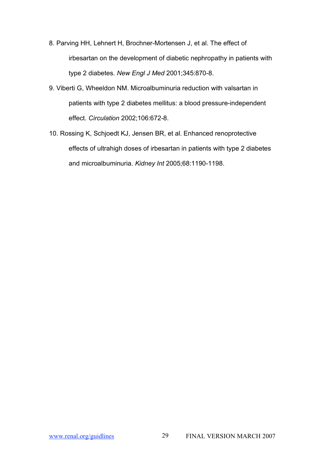- 8. Parving HH, Lehnert H, Brochner-Mortensen J, et al. The effect of irbesartan on the development of diabetic nephropathy in patients with type 2 diabetes. *New Engl J Med* 2001;345:870-8.
- 9. Viberti G, Wheeldon NM. Microalbuminuria reduction with valsartan in patients with type 2 diabetes mellitus: a blood pressure-independent effect. *Circulation* 2002;106:672-8.
- 10. Rossing K, Schjoedt KJ, Jensen BR, et al. Enhanced renoprotective effects of ultrahigh doses of irbesartan in patients with type 2 diabetes and microalbuminuria. *Kidney Int* 2005;68:1190-1198.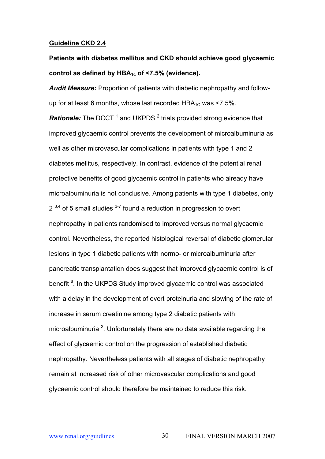#### **Guideline CKD 2.4**

# **Patients with diabetes mellitus and CKD should achieve good glycaemic control as defined by HBA1c of <7.5% (evidence).**

*Audit Measure:* Proportion of patients with diabetic nephropathy and followup for at least 6 months, whose last recorded  $HBA_{1C}$  was <7.5%.

*Rationale:* The DCCT<sup>1</sup> and UKPDS<sup>2</sup> trials provided strong evidence that improved glycaemic control prevents the development of microalbuminuria as well as other microvascular complications in patients with type 1 and 2 diabetes mellitus, respectively. In contrast, evidence of the potential renal protective benefits of good glycaemic control in patients who already have microalbuminuria is not conclusive. Among patients with type 1 diabetes, only  $2^{3,4}$  of 5 small studies  $3-7$  found a reduction in progression to overt nephropathy in patients randomised to improved versus normal glycaemic control. Nevertheless, the reported histological reversal of diabetic glomerular lesions in type 1 diabetic patients with normo- or microalbuminuria after pancreatic transplantation does suggest that improved glycaemic control is of benefit <sup>8</sup>. In the UKPDS Study improved glycaemic control was associated with a delay in the development of overt proteinuria and slowing of the rate of increase in serum creatinine among type 2 diabetic patients with microalbuminuria  $^2$ . Unfortunately there are no data available regarding the effect of glycaemic control on the progression of established diabetic nephropathy. Nevertheless patients with all stages of diabetic nephropathy remain at increased risk of other microvascular complications and good glycaemic control should therefore be maintained to reduce this risk.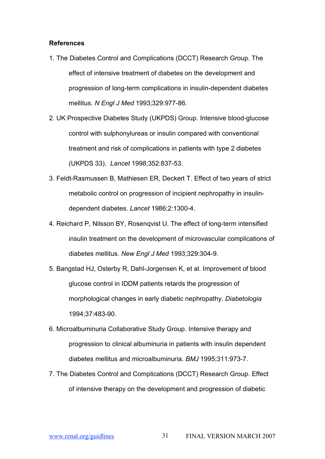- 1. The Diabetes Control and Complications (DCCT) Research Group. The effect of intensive treatment of diabetes on the development and progression of long-term complications in insulin-dependent diabetes mellitus. *N Engl J Med* 1993;329:977-86.
- 2. UK Prospective Diabetes Study (UKPDS) Group. Intensive blood-glucose control with sulphonylureas or insulin compared with conventional treatment and risk of complications in patients with type 2 diabetes (UKPDS 33). *Lancet* 1998;352:837-53.
- 3. Feldt-Rasmussen B, Mathiesen ER, Deckert T. Effect of two years of strict metabolic control on progression of incipient nephropathy in insulindependent diabetes. *Lancet* 1986;2:1300-4.
- 4. Reichard P, Nilsson BY, Rosenqvist U. The effect of long-term intensified insulin treatment on the development of microvascular complications of diabetes mellitus. *New Engl J Med* 1993;329:304-9.
- 5. Bangstad HJ, Osterby R, Dahl-Jorgensen K, et al. Improvement of blood glucose control in IDDM patients retards the progression of morphological changes in early diabetic nephropathy. *Diabetologia* 1994;37:483-90.
- 6. Microalbuminuria Collaborative Study Group. Intensive therapy and progression to clinical albuminuria in patients with insulin dependent diabetes mellitus and microalbuminuria. *BMJ* 1995;311:973-7.
- 7. The Diabetes Control and Complications (DCCT) Research Group. Effect of intensive therapy on the development and progression of diabetic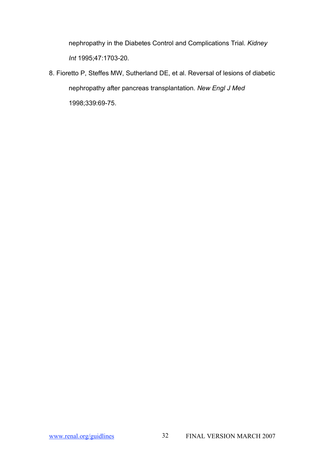nephropathy in the Diabetes Control and Complications Trial. *Kidney Int* 1995;47:1703-20.

8. Fioretto P, Steffes MW, Sutherland DE, et al. Reversal of lesions of diabetic nephropathy after pancreas transplantation. *New Engl J Med* 1998;339:69-75.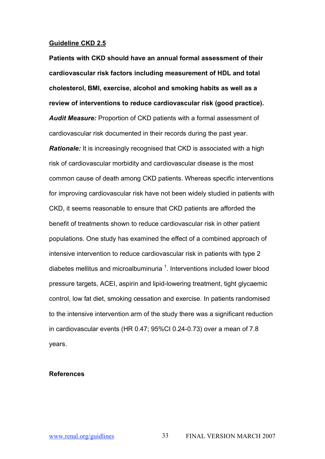#### **Guideline CKD 2.5**

**Patients with CKD should have an annual formal assessment of their cardiovascular risk factors including measurement of HDL and total cholesterol, BMI, exercise, alcohol and smoking habits as well as a review of interventions to reduce cardiovascular risk (good practice).** *Audit Measure:* Proportion of CKD patients with a formal assessment of cardiovascular risk documented in their records during the past year. *Rationale:* It is increasingly recognised that CKD is associated with a high risk of cardiovascular morbidity and cardiovascular disease is the most common cause of death among CKD patients. Whereas specific interventions for improving cardiovascular risk have not been widely studied in patients with CKD, it seems reasonable to ensure that CKD patients are afforded the benefit of treatments shown to reduce cardiovascular risk in other patient populations. One study has examined the effect of a combined approach of intensive intervention to reduce cardiovascular risk in patients with type 2 diabetes mellitus and microalbuminuria<sup>1</sup>. Interventions included lower blood pressure targets, ACEI, aspirin and lipid-lowering treatment, tight glycaemic control, low fat diet, smoking cessation and exercise. In patients randomised to the intensive intervention arm of the study there was a significant reduction in cardiovascular events (HR 0.47; 95%CI 0.24-0.73) over a mean of 7.8 years.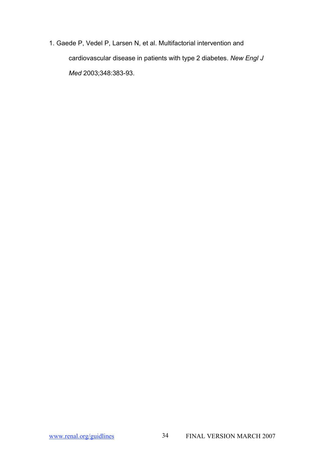1. Gaede P, Vedel P, Larsen N, et al. Multifactorial intervention and cardiovascular disease in patients with type 2 diabetes. *New Engl J Med* 2003;348:383-93.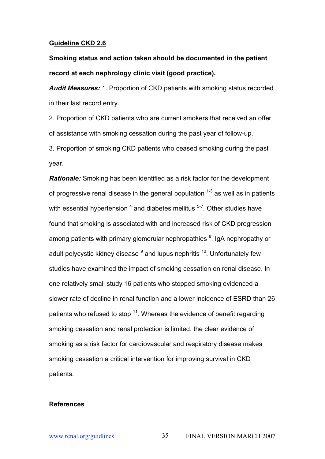## **Guideline CKD 2.6**

**Smoking status and action taken should be documented in the patient record at each nephrology clinic visit (good practice).**

*Audit Measures:* 1. Proportion of CKD patients with smoking status recorded in their last record entry.

2. Proportion of CKD patients who are current smokers that received an offer of assistance with smoking cessation during the past year of follow-up.

3. Proportion of smoking CKD patients who ceased smoking during the past year.

*Rationale:* Smoking has been identified as a risk factor for the development of progressive renal disease in the general population  $1-3$  as well as in patients with essential hypertension  $^4$  and diabetes mellitus  $^{5\text{-}7}$ . Other studies have found that smoking is associated with and increased risk of CKD progression among patients with primary glomerular nephropathies <sup>8</sup>, IgA nephropathy or adult polycystic kidney disease  $^9$  and lupus nephritis  $^{\mathsf{10}}$ . Unfortunately few studies have examined the impact of smoking cessation on renal disease. In one relatively small study 16 patients who stopped smoking evidenced a slower rate of decline in renal function and a lower incidence of ESRD than 26 patients who refused to stop  $^{11}$ . Whereas the evidence of benefit regarding smoking cessation and renal protection is limited, the clear evidence of smoking as a risk factor for cardiovascular and respiratory disease makes smoking cessation a critical intervention for improving survival in CKD patients.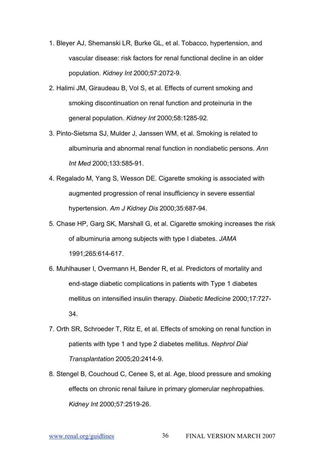- 1. Bleyer AJ, Shemanski LR, Burke GL, et al. Tobacco, hypertension, and vascular disease: risk factors for renal functional decline in an older population. *Kidney Int* 2000;57:2072-9.
- 2. Halimi JM, Giraudeau B, Vol S, et al. Effects of current smoking and smoking discontinuation on renal function and proteinuria in the general population. *Kidney Int* 2000;58:1285-92.
- 3. Pinto-Sietsma SJ, Mulder J, Janssen WM, et al. Smoking is related to albuminuria and abnormal renal function in nondiabetic persons. *Ann Int Med* 2000;133:585-91.
- 4. Regalado M, Yang S, Wesson DE. Cigarette smoking is associated with augmented progression of renal insufficiency in severe essential hypertension. *Am J Kidney Dis* 2000;35:687-94.
- 5. Chase HP, Garg SK, Marshall G, et al. Cigarette smoking increases the risk of albuminuria among subjects with type I diabetes. *JAMA* 1991;265:614-617.
- 6. Muhlhauser I, Overmann H, Bender R, et al. Predictors of mortality and end-stage diabetic complications in patients with Type 1 diabetes mellitus on intensified insulin therapy. *Diabetic Medicine* 2000;17:727- 34.
- 7. Orth SR, Schroeder T, Ritz E, et al. Effects of smoking on renal function in patients with type 1 and type 2 diabetes mellitus. *Nephrol Dial Transplantation* 2005;20:2414-9.
- 8. Stengel B, Couchoud C, Cenee S, et al. Age, blood pressure and smoking effects on chronic renal failure in primary glomerular nephropathies. *Kidney Int* 2000;57:2519-26.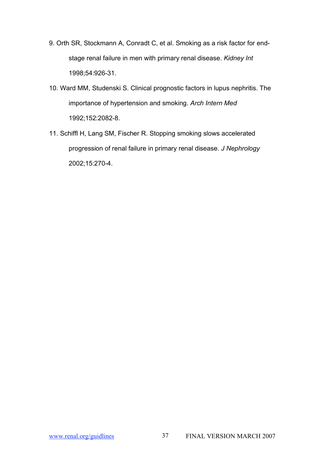- 9. Orth SR, Stockmann A, Conradt C, et al. Smoking as a risk factor for endstage renal failure in men with primary renal disease. *Kidney Int* 1998;54:926-31.
- 10. Ward MM, Studenski S. Clinical prognostic factors in lupus nephritis. The importance of hypertension and smoking. *Arch Intern Med* 1992;152:2082-8.
- 11. Schiffl H, Lang SM, Fischer R. Stopping smoking slows accelerated progression of renal failure in primary renal disease. *J Nephrology* 2002;15:270-4.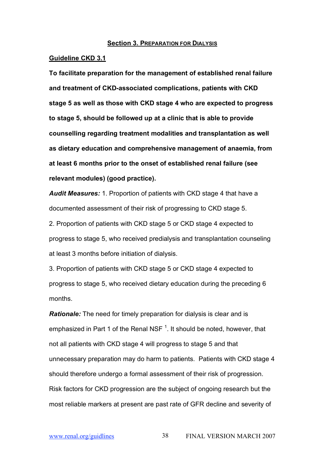#### **Section 3. PREPARATION FOR DIALYSIS**

#### **Guideline CKD 3.1**

**To facilitate preparation for the management of established renal failure and treatment of CKD-associated complications, patients with CKD stage 5 as well as those with CKD stage 4 who are expected to progress to stage 5, should be followed up at a clinic that is able to provide counselling regarding treatment modalities and transplantation as well as dietary education and comprehensive management of anaemia, from at least 6 months prior to the onset of established renal failure (see relevant modules) (good practice).**

*Audit Measures:* 1. Proportion of patients with CKD stage 4 that have a documented assessment of their risk of progressing to CKD stage 5.

2. Proportion of patients with CKD stage 5 or CKD stage 4 expected to progress to stage 5, who received predialysis and transplantation counseling at least 3 months before initiation of dialysis.

3. Proportion of patients with CKD stage 5 or CKD stage 4 expected to progress to stage 5, who received dietary education during the preceding 6 months.

*Rationale:* The need for timely preparation for dialysis is clear and is emphasized in Part 1 of the Renal NSF  $^1$ . It should be noted, however, that not all patients with CKD stage 4 will progress to stage 5 and that unnecessary preparation may do harm to patients. Patients with CKD stage 4 should therefore undergo a formal assessment of their risk of progression. Risk factors for CKD progression are the subject of ongoing research but the most reliable markers at present are past rate of GFR decline and severity of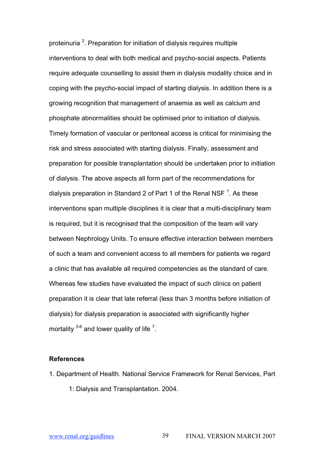proteinuria <sup>2</sup>. Preparation for initiation of dialysis requires multiple interventions to deal with both medical and psycho-social aspects. Patients require adequate counselling to assist them in dialysis modality choice and in coping with the psycho-social impact of starting dialysis. In addition there is a growing recognition that management of anaemia as well as calcium and phosphate abnormalities should be optimised prior to initiation of dialysis. Timely formation of vascular or peritoneal access is critical for minimising the risk and stress associated with starting dialysis. Finally, assessment and preparation for possible transplantation should be undertaken prior to initiation of dialysis. The above aspects all form part of the recommendations for dialysis preparation in Standard 2 of Part 1 of the Renal NSF  $^{\text{1}}$ . As these interventions span multiple disciplines it is clear that a multi-disciplinary team is required, but it is recognised that the composition of the team will vary between Nephrology Units. To ensure effective interaction between members of such a team and convenient access to all members for patients we regard a clinic that has available all required competencies as the standard of care. Whereas few studies have evaluated the impact of such clinics on patient preparation it is clear that late referral (less than 3 months before initiation of dialysis) for dialysis preparation is associated with significantly higher mortality  $3-6$  and lower quality of life  $7$ .

- 1. Department of Health. National Service Framework for Renal Services, Part
	- 1: Dialysis and Transplantation. 2004.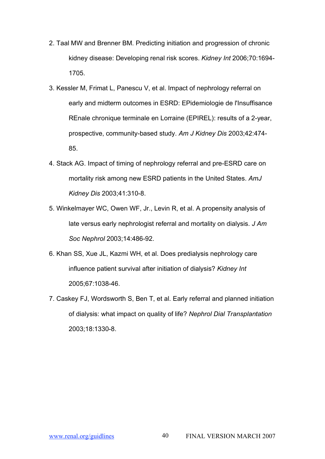- 2. Taal MW and Brenner BM. Predicting initiation and progression of chronic kidney disease: Developing renal risk scores. *Kidney Int* 2006;70:1694- 1705.
- 3. Kessler M, Frimat L, Panescu V, et al. Impact of nephrology referral on early and midterm outcomes in ESRD: EPidemiologie de l'Insuffisance REnale chronique terminale en Lorraine (EPIREL): results of a 2-year, prospective, community-based study. *Am J Kidney Dis* 2003;42:474- 85.
- 4. Stack AG. Impact of timing of nephrology referral and pre-ESRD care on mortality risk among new ESRD patients in the United States. *AmJ Kidney Dis* 2003;41:310-8.
- 5. Winkelmayer WC, Owen WF, Jr., Levin R, et al. A propensity analysis of late versus early nephrologist referral and mortality on dialysis. *J Am Soc Nephrol* 2003;14:486-92.
- 6. Khan SS, Xue JL, Kazmi WH, et al. Does predialysis nephrology care influence patient survival after initiation of dialysis? *Kidney Int* 2005;67:1038-46.
- 7. Caskey FJ, Wordsworth S, Ben T, et al. Early referral and planned initiation of dialysis: what impact on quality of life? *Nephrol Dial Transplantation* 2003;18:1330-8.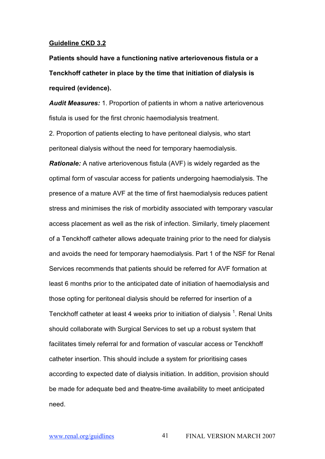# **Guideline CKD 3.2**

**Patients should have a functioning native arteriovenous fistula or a Tenckhoff catheter in place by the time that initiation of dialysis is required (evidence).**

*Audit Measures:* 1. Proportion of patients in whom a native arteriovenous fistula is used for the first chronic haemodialysis treatment.

2. Proportion of patients electing to have peritoneal dialysis, who start peritoneal dialysis without the need for temporary haemodialysis.

*Rationale:* A native arteriovenous fistula (AVF) is widely regarded as the optimal form of vascular access for patients undergoing haemodialysis. The presence of a mature AVF at the time of first haemodialysis reduces patient stress and minimises the risk of morbidity associated with temporary vascular access placement as well as the risk of infection. Similarly, timely placement of a Tenckhoff catheter allows adequate training prior to the need for dialysis and avoids the need for temporary haemodialysis. Part 1 of the NSF for Renal Services recommends that patients should be referred for AVF formation at least 6 months prior to the anticipated date of initiation of haemodialysis and those opting for peritoneal dialysis should be referred for insertion of a Tenckhoff catheter at least 4 weeks prior to initiation of dialysis  $^1$ . Renal Units should collaborate with Surgical Services to set up a robust system that facilitates timely referral for and formation of vascular access or Tenckhoff catheter insertion. This should include a system for prioritising cases according to expected date of dialysis initiation. In addition, provision should be made for adequate bed and theatre-time availability to meet anticipated need.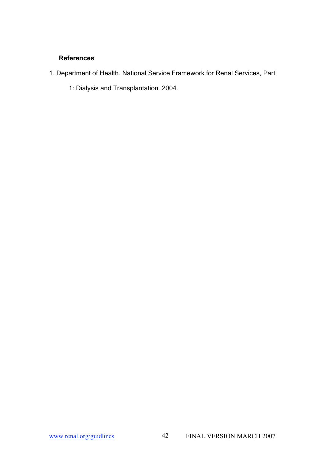- 1. Department of Health. National Service Framework for Renal Services, Part
	- 1: Dialysis and Transplantation. 2004.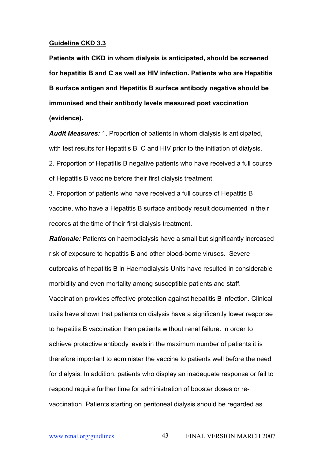### **Guideline CKD 3.3**

**Patients with CKD in whom dialysis is anticipated, should be screened for hepatitis B and C as well as HIV infection. Patients who are Hepatitis B surface antigen and Hepatitis B surface antibody negative should be immunised and their antibody levels measured post vaccination (evidence).**

*Audit Measures:* 1. Proportion of patients in whom dialysis is anticipated, with test results for Hepatitis B, C and HIV prior to the initiation of dialysis. 2. Proportion of Hepatitis B negative patients who have received a full course of Hepatitis B vaccine before their first dialysis treatment.

3. Proportion of patients who have received a full course of Hepatitis B vaccine, who have a Hepatitis B surface antibody result documented in their records at the time of their first dialysis treatment.

*Rationale:* Patients on haemodialysis have a small but significantly increased risk of exposure to hepatitis B and other blood-borne viruses. Severe outbreaks of hepatitis B in Haemodialysis Units have resulted in considerable morbidity and even mortality among susceptible patients and staff. Vaccination provides effective protection against hepatitis B infection. Clinical trails have shown that patients on dialysis have a significantly lower response to hepatitis B vaccination than patients without renal failure. In order to achieve protective antibody levels in the maximum number of patients it is therefore important to administer the vaccine to patients well before the need for dialysis. In addition, patients who display an inadequate response or fail to respond require further time for administration of booster doses or revaccination. Patients starting on peritoneal dialysis should be regarded as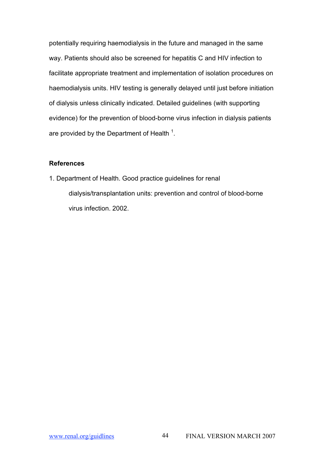potentially requiring haemodialysis in the future and managed in the same way. Patients should also be screened for hepatitis C and HIV infection to facilitate appropriate treatment and implementation of isolation procedures on haemodialysis units. HIV testing is generally delayed until just before initiation of dialysis unless clinically indicated. Detailed guidelines (with supporting evidence) for the prevention of blood-borne virus infection in dialysis patients are provided by the Department of Health  $^1$ .

# **References**

1. Department of Health. Good practice guidelines for renal dialysis/transplantation units: prevention and control of blood-borne virus infection. 2002.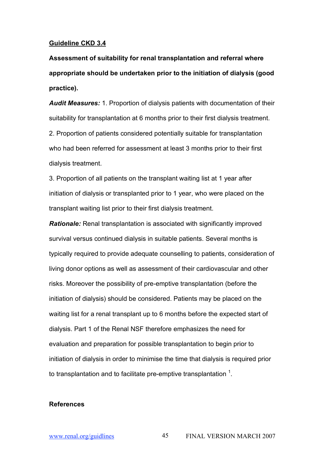# **Guideline CKD 3.4**

**Assessment of suitability for renal transplantation and referral where appropriate should be undertaken prior to the initiation of dialysis (good practice).**

*Audit Measures:* 1. Proportion of dialysis patients with documentation of their suitability for transplantation at 6 months prior to their first dialysis treatment. 2. Proportion of patients considered potentially suitable for transplantation who had been referred for assessment at least 3 months prior to their first dialysis treatment.

3. Proportion of all patients on the transplant waiting list at 1 year after initiation of dialysis or transplanted prior to 1 year, who were placed on the transplant waiting list prior to their first dialysis treatment.

*Rationale:* Renal transplantation is associated with significantly improved survival versus continued dialysis in suitable patients. Several months is typically required to provide adequate counselling to patients, consideration of living donor options as well as assessment of their cardiovascular and other risks. Moreover the possibility of pre-emptive transplantation (before the initiation of dialysis) should be considered. Patients may be placed on the waiting list for a renal transplant up to 6 months before the expected start of dialysis. Part 1 of the Renal NSF therefore emphasizes the need for evaluation and preparation for possible transplantation to begin prior to initiation of dialysis in order to minimise the time that dialysis is required prior to transplantation and to facilitate pre-emptive transplantation  $^1$ .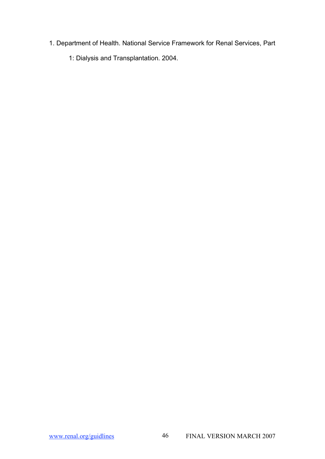- 1. Department of Health. National Service Framework for Renal Services, Part
	- 1: Dialysis and Transplantation. 2004.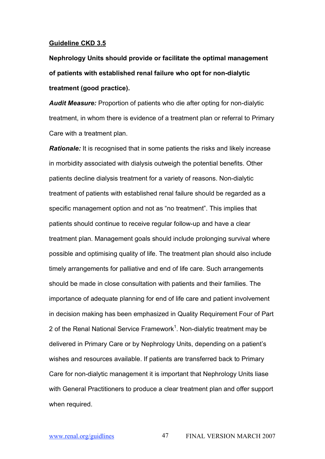#### **Guideline CKD 3.5**

**Nephrology Units should provide or facilitate the optimal management of patients with established renal failure who opt for non-dialytic treatment (good practice).**

*Audit Measure:* Proportion of patients who die after opting for non-dialytic treatment, in whom there is evidence of a treatment plan or referral to Primary Care with a treatment plan.

*Rationale:* It is recognised that in some patients the risks and likely increase in morbidity associated with dialysis outweigh the potential benefits. Other patients decline dialysis treatment for a variety of reasons. Non-dialytic treatment of patients with established renal failure should be regarded as a specific management option and not as "no treatment". This implies that patients should continue to receive regular follow-up and have a clear treatment plan. Management goals should include prolonging survival where possible and optimising quality of life. The treatment plan should also include timely arrangements for palliative and end of life care. Such arrangements should be made in close consultation with patients and their families. The importance of adequate planning for end of life care and patient involvement in decision making has been emphasized in Quality Requirement Four of Part 2 of the Renal National Service Framework<sup>1</sup>. Non-dialytic treatment may be delivered in Primary Care or by Nephrology Units, depending on a patient's wishes and resources available. If patients are transferred back to Primary Care for non-dialytic management it is important that Nephrology Units liase with General Practitioners to produce a clear treatment plan and offer support when required.